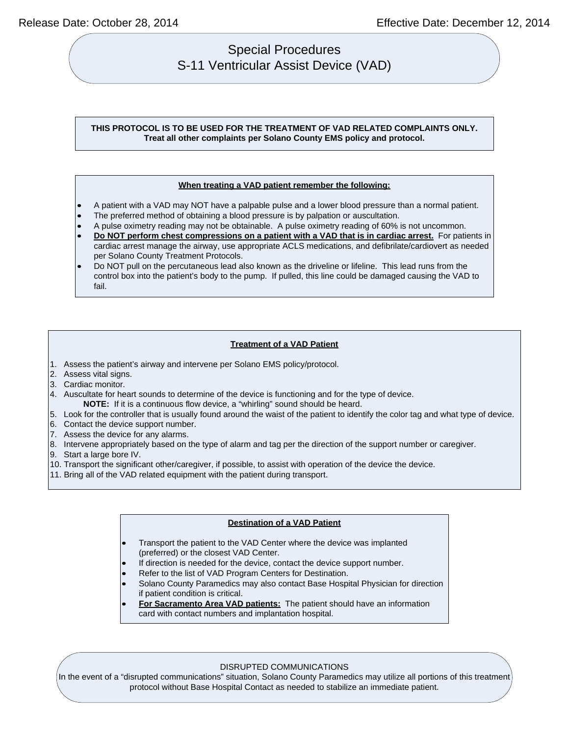# Special Procedures S-11 Ventricular Assist Device (VAD)

## **THIS PROTOCOL IS TO BE USED FOR THE TREATMENT OF VAD RELATED COMPLAINTS ONLY. Treat all other complaints per Solano County EMS policy and protocol.**

#### **When treating a VAD patient remember the following:**

- A patient with a VAD may NOT have a palpable pulse and a lower blood pressure than a normal patient.
- The preferred method of obtaining a blood pressure is by palpation or auscultation.
- A pulse oximetry reading may not be obtainable. A pulse oximetry reading of 60% is not uncommon.
- **Do NOT perform chest compressions on a patient with a VAD that is in cardiac arrest.** For patients in cardiac arrest manage the airway, use appropriate ACLS medications, and defibrilate/cardiovert as needed per Solano County Treatment Protocols.
- Do NOT pull on the percutaneous lead also known as the driveline or lifeline. This lead runs from the control box into the patient's body to the pump. If pulled, this line could be damaged causing the VAD to fail.

## **Treatment of a VAD Patient**

- 1. Assess the patient's airway and intervene per Solano EMS policy/protocol.
- 2. Assess vital signs.
- 3. Cardiac monitor.
- 4. Auscultate for heart sounds to determine of the device is functioning and for the type of device. **NOTE:** If it is a continuous flow device, a "whirling" sound should be heard.
- 5. Look for the controller that is usually found around the waist of the patient to identify the color tag and what type of device.
- 6. Contact the device support number.
- 7. Assess the device for any alarms.
- 8. Intervene appropriately based on the type of alarm and tag per the direction of the support number or caregiver.
- 9. Start a large bore IV.
- 10. Transport the significant other/caregiver, if possible, to assist with operation of the device the device.
- 11. Bring all of the VAD related equipment with the patient during transport.

#### **Destination of a VAD Patient**

- Transport the patient to the VAD Center where the device was implanted (preferred) or the closest VAD Center.
- If direction is needed for the device, contact the device support number.
- Refer to the list of VAD Program Centers for Destination.
- Solano County Paramedics may also contact Base Hospital Physician for direction if patient condition is critical.
- **For Sacramento Area VAD patients:** The patient should have an information card with contact numbers and implantation hospital.

#### DISRUPTED COMMUNICATIONS

In the event of a "disrupted communications" situation, Solano County Paramedics may utilize all portions of this treatment protocol without Base Hospital Contact as needed to stabilize an immediate patient.